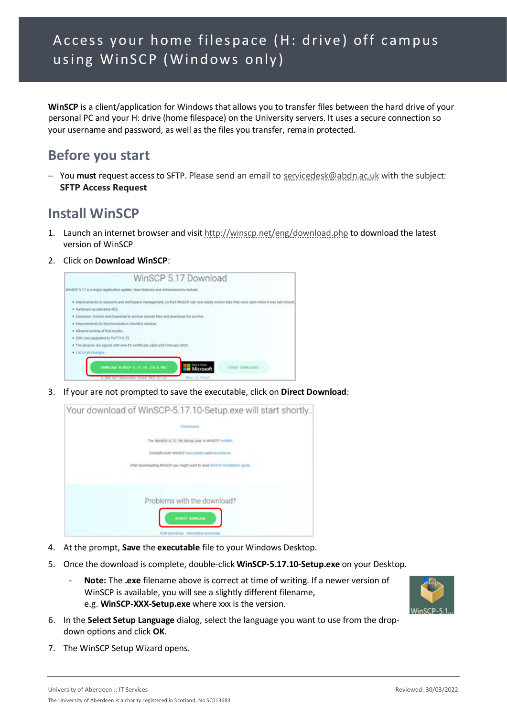**WinSCP** is a client/application for Windows that allows you to transfer files between the hard drive of your personal PC and your H: drive (home filespace) on the University servers. It uses a secure connection so your username and password, as well as the files you transfer, remain protected.

# **Before you start**

− You **must** request access to SFTP. Please send an email to [servicedesk@abdn.ac.uk](mailto:servicedesk@abdn.ac.uk) with the subject: **SFTP Access Request**

## **Install WinSCP**

- 1. Launch an internet browser and visi[t http://winscp.net/eng/download.php](http://winscp.net/eng/download.php) to download the latest version of WinSCP
- 2. Click on **Download WinSCP**:



3. If your are not prompted to save the executable, click on **Direct Download**:



- 4. At the prompt, **Save** the **executable** file to your Windows Desktop.
- 5. Once the download is complete, double-click **WinSCP-5.17.10-Setup.exe** on your Desktop.
	- Note: The .exe filename above is correct at time of writing. If a newer version of WinSCP is available, you will see a slightly different filename, e.g. **WinSCP-XXX-Setup.exe** where xxx is the version.



- 6. In the **Select Setup Language** dialog, select the language you want to use from the dropdown options and click **OK**.
- 7. The WinSCP Setup Wizard opens.